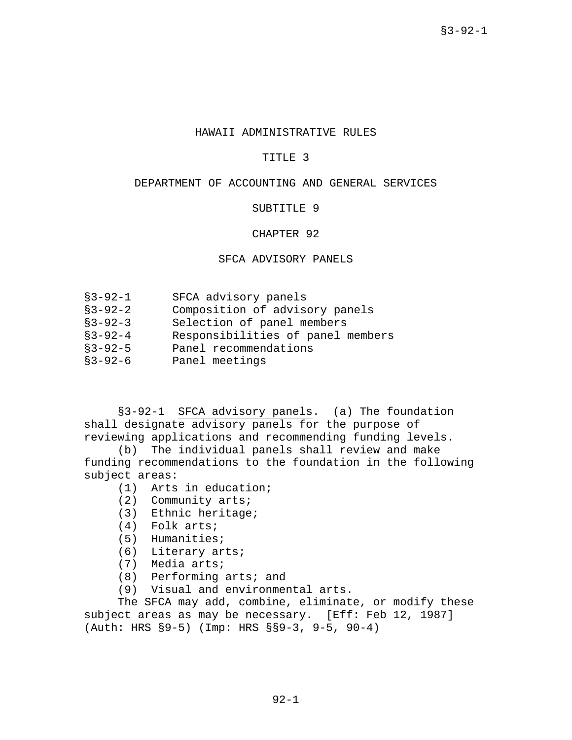### HAWAII ADMINISTRATIVE RULES

#### TITLE 3

# DEPARTMENT OF ACCOUNTING AND GENERAL SERVICES

#### SUBTITLE 9

# CHAPTER 92

# SFCA ADVISORY PANELS

| $$3 - 92 - 1$ |  | SFCA advisory panels |  |
|---------------|--|----------------------|--|
|---------------|--|----------------------|--|

- §3-92-2 Composition of advisory panels
- §3-92-3 Selection of panel members
- §3-92-4 Responsibilities of panel members
- §3-92-5 Panel recommendations
- §3-92-6 Panel meetings

§3-92-1 SFCA advisory panels. (a) The foundation shall designate advisory panels for the purpose of reviewing applications and recommending funding levels.

(b) The individual panels shall review and make funding recommendations to the foundation in the following subject areas:

- (1) Arts in education;
- (2) Community arts;
- (3) Ethnic heritage;
- (4) Folk arts;
- (5) Humanities;
- (6) Literary arts;
- (7) Media arts;
- (8) Performing arts; and
- (9) Visual and environmental arts.

The SFCA may add, combine, eliminate, or modify these subject areas as may be necessary. [Eff: Feb 12, 1987] (Auth: HRS §9-5) (Imp: HRS §§9-3, 9-5, 90-4)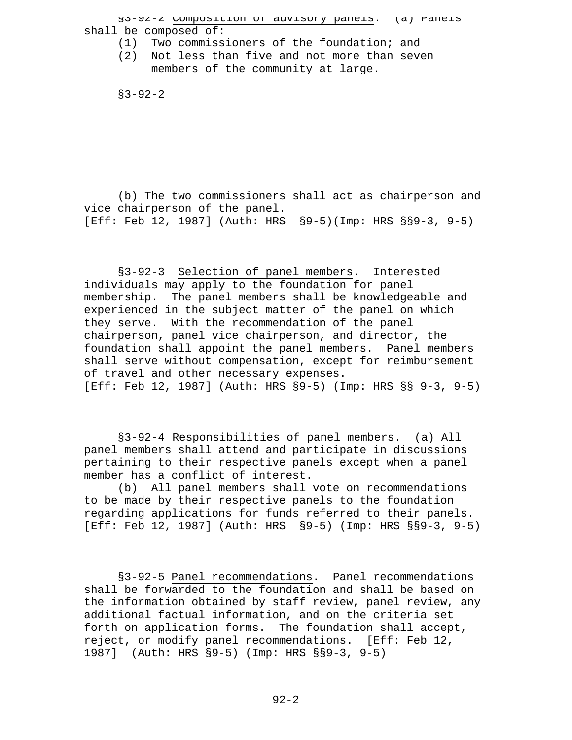§3-92-2 Composition of advisory panels. (a) Panels shall be composed of:

- (1) Two commissioners of the foundation; and
- (2) Not less than five and not more than seven members of the community at large.

 $$3 - 92 - 2$ 

(b) The two commissioners shall act as chairperson and vice chairperson of the panel. [Eff: Feb 12, 1987] (Auth: HRS §9-5)(Imp: HRS §§9-3, 9-5)

§3-92-3 Selection of panel members. Interested individuals may apply to the foundation for panel membership. The panel members shall be knowledgeable and experienced in the subject matter of the panel on which they serve. With the recommendation of the panel chairperson, panel vice chairperson, and director, the foundation shall appoint the panel members. Panel members shall serve without compensation, except for reimbursement of travel and other necessary expenses. [Eff: Feb 12, 1987] (Auth: HRS §9-5) (Imp: HRS §§ 9-3, 9-5)

§3-92-4 Responsibilities of panel members. (a) All panel members shall attend and participate in discussions pertaining to their respective panels except when a panel member has a conflict of interest.

(b) All panel members shall vote on recommendations to be made by their respective panels to the foundation regarding applications for funds referred to their panels. [Eff: Feb 12, 1987] (Auth: HRS §9-5) (Imp: HRS §§9-3, 9-5)

§3-92-5 Panel recommendations. Panel recommendations shall be forwarded to the foundation and shall be based on the information obtained by staff review, panel review, any additional factual information, and on the criteria set forth on application forms. The foundation shall accept, reject, or modify panel recommendations. [Eff: Feb 12, 1987] (Auth: HRS §9-5) (Imp: HRS §§9-3, 9-5)